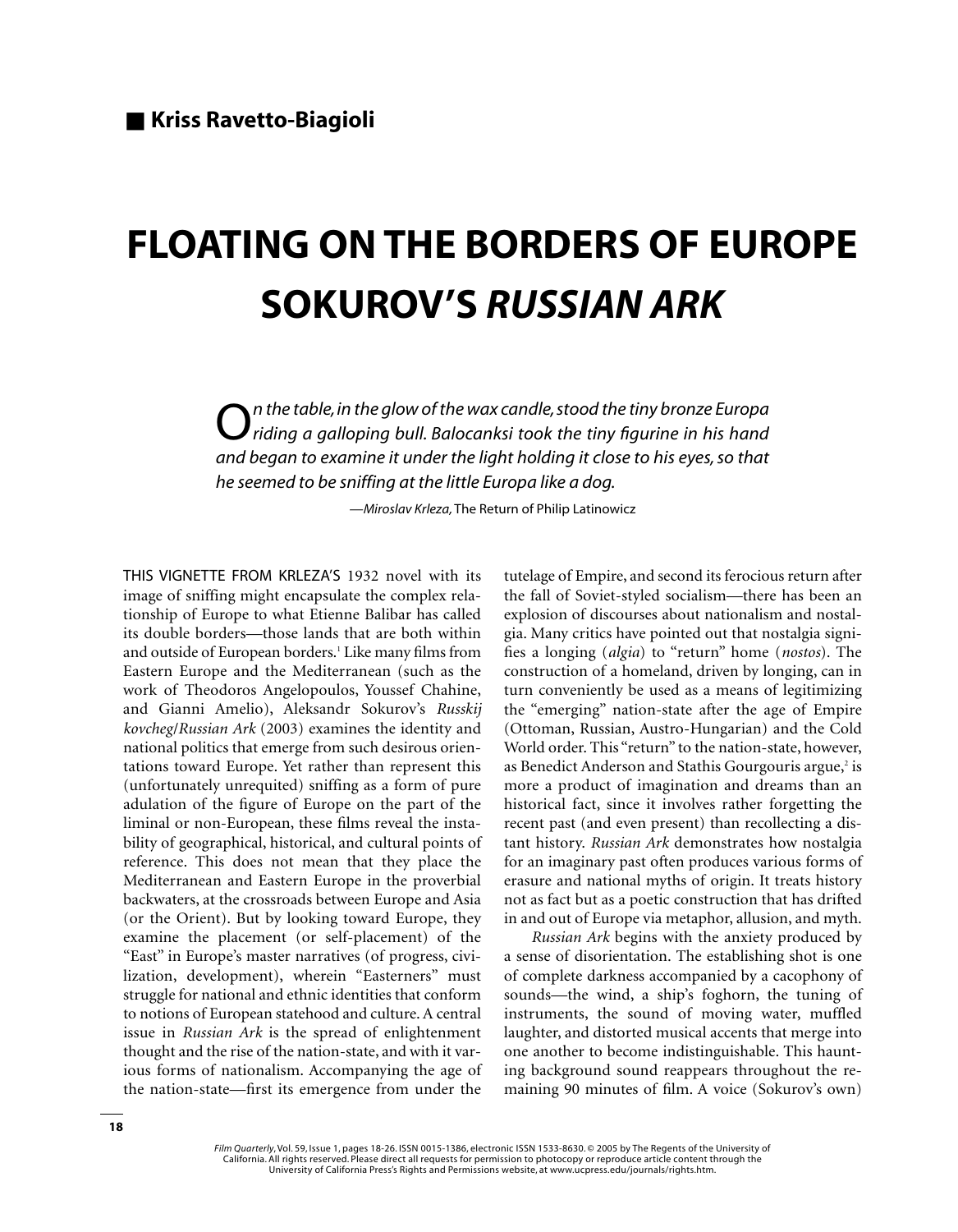## **FLOATING ON THE BORDERS OF EUROPE SOKUROV'S** *RUSSIAN ARK*

O*n the table, in the glow of the wax candle, stood the tiny bronze Europa riding a galloping bull. Balocanksi took the tiny figurine in his hand and began to examine it under the light holding it close to his eyes, so that he seemed to be sniffing at the little Europa like a dog.*

*—Miroslav Krleza,* The Return of Philip Latinowicz

THIS VIGNETTE FROM KRLEZA'S 1932 novel with its image of sniffing might encapsulate the complex relationship of Europe to what Etienne Balibar has called its double borders—those lands that are both within and outside of European borders.<sup>1</sup> Like many films from Eastern Europe and the Mediterranean (such as the work of Theodoros Angelopoulos, Youssef Chahine, and Gianni Amelio), Aleksandr Sokurov's *Russkij kovcheg*/*Russian Ark* (2003) examines the identity and national politics that emerge from such desirous orientations toward Europe. Yet rather than represent this (unfortunately unrequited) sniffing as a form of pure adulation of the figure of Europe on the part of the liminal or non-European, these films reveal the instability of geographical, historical, and cultural points of reference. This does not mean that they place the Mediterranean and Eastern Europe in the proverbial backwaters, at the crossroads between Europe and Asia (or the Orient). But by looking toward Europe, they examine the placement (or self-placement) of the "East" in Europe's master narratives (of progress, civilization, development), wherein "Easterners" must struggle for national and ethnic identities that conform to notions of European statehood and culture. A central issue in *Russian Ark* is the spread of enlightenment thought and the rise of the nation-state, and with it various forms of nationalism. Accompanying the age of the nation-state—first its emergence from under the

tutelage of Empire, and second its ferocious return after the fall of Soviet-styled socialism—there has been an explosion of discourses about nationalism and nostalgia. Many critics have pointed out that nostalgia signifies a longing (*algia*) to "return" home (*nostos*). The construction of a homeland, driven by longing, can in turn conveniently be used as a means of legitimizing the "emerging" nation-state after the age of Empire (Ottoman, Russian, Austro-Hungarian) and the Cold World order. This "return" to the nation-state, however, as Benedict Anderson and Stathis Gourgouris argue,<sup>2</sup> is more a product of imagination and dreams than an historical fact, since it involves rather forgetting the recent past (and even present) than recollecting a distant history. *Russian Ark* demonstrates how nostalgia for an imaginary past often produces various forms of erasure and national myths of origin. It treats history not as fact but as a poetic construction that has drifted in and out of Europe via metaphor, allusion, and myth.

*Russian Ark* begins with the anxiety produced by a sense of disorientation. The establishing shot is one of complete darkness accompanied by a cacophony of sounds—the wind, a ship's foghorn, the tuning of instruments, the sound of moving water, muffled laughter, and distorted musical accents that merge into one another to become indistinguishable. This haunting background sound reappears throughout the remaining 90 minutes of film. A voice (Sokurov's own)

Film Quarterly, Vol. 59, Issue 1, pages 18-26. ISSN 0015-1386, electronic ISSN 1533-8630. © 2005 by The Regents of the University of<br>California. All rights reserved. Please direct all requests for permission to photocopy o University of California Press's Rights and Permissions website, at www.ucpress.edu/journals/rights.htm.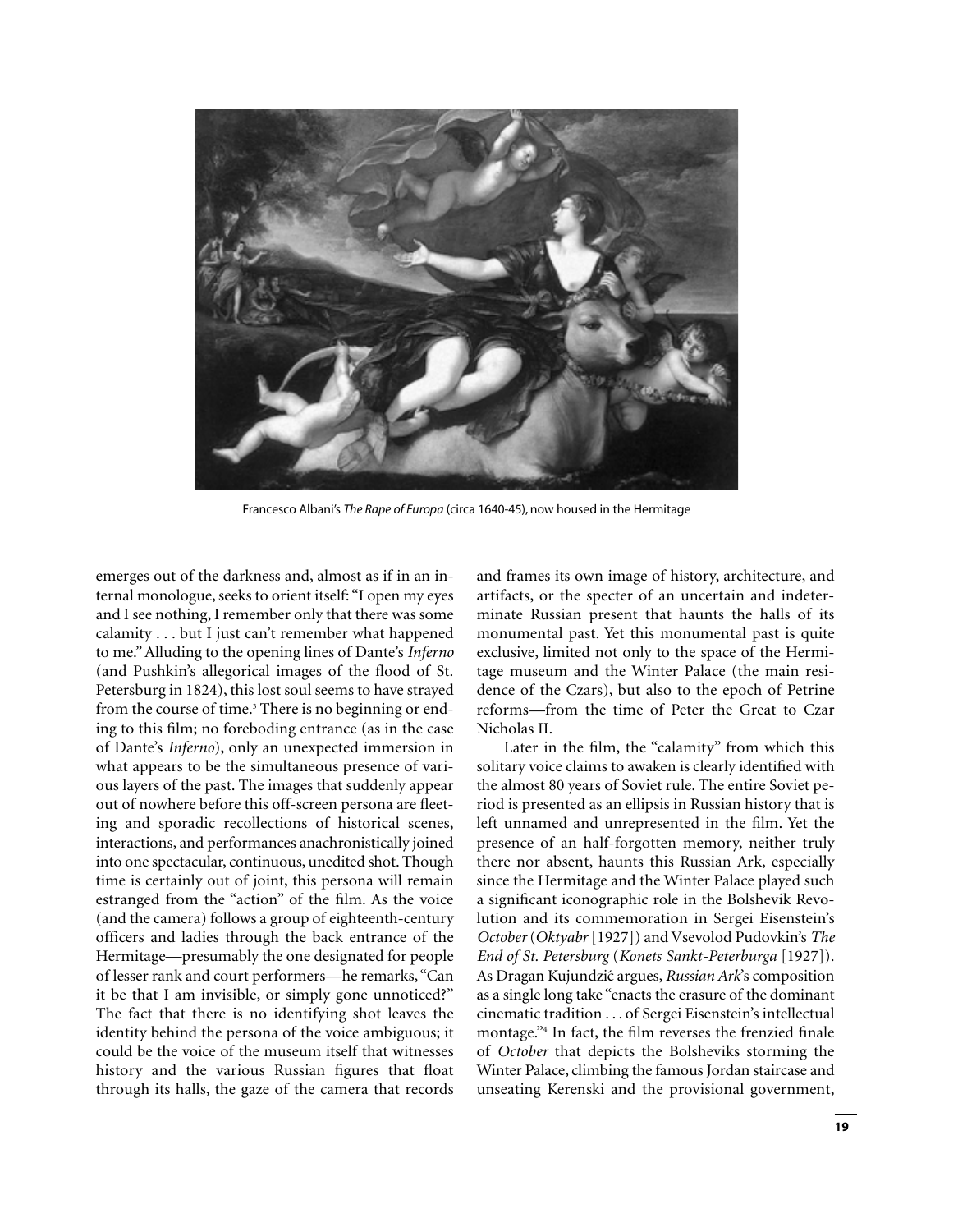

Francesco Albani's *The Rape of Europa* (circa 1640-45), now housed in the Hermitage

emerges out of the darkness and, almost as if in an internal monologue, seeks to orient itself: "I open my eyes and I see nothing, I remember only that there was some calamity . . . but I just can't remember what happened to me." Alluding to the opening lines of Dante's *Inferno* (and Pushkin's allegorical images of the flood of St. Petersburg in 1824), this lost soul seems to have strayed from the course of time.<sup>3</sup> There is no beginning or ending to this film; no foreboding entrance (as in the case of Dante's *Inferno*), only an unexpected immersion in what appears to be the simultaneous presence of various layers of the past. The images that suddenly appear out of nowhere before this off-screen persona are fleeting and sporadic recollections of historical scenes, interactions, and performances anachronistically joined into one spectacular, continuous, unedited shot. Though time is certainly out of joint, this persona will remain estranged from the "action" of the film. As the voice (and the camera) follows a group of eighteenth-century officers and ladies through the back entrance of the Hermitage—presumably the one designated for people of lesser rank and court performers—he remarks,"Can it be that I am invisible, or simply gone unnoticed?" The fact that there is no identifying shot leaves the identity behind the persona of the voice ambiguous; it could be the voice of the museum itself that witnesses history and the various Russian figures that float through its halls, the gaze of the camera that records and frames its own image of history, architecture, and artifacts, or the specter of an uncertain and indeterminate Russian present that haunts the halls of its monumental past. Yet this monumental past is quite exclusive, limited not only to the space of the Hermitage museum and the Winter Palace (the main residence of the Czars), but also to the epoch of Petrine reforms—from the time of Peter the Great to Czar Nicholas II.

Later in the film, the "calamity" from which this solitary voice claims to awaken is clearly identified with the almost 80 years of Soviet rule. The entire Soviet period is presented as an ellipsis in Russian history that is left unnamed and unrepresented in the film. Yet the presence of an half-forgotten memory, neither truly there nor absent, haunts this Russian Ark, especially since the Hermitage and the Winter Palace played such a significant iconographic role in the Bolshevik Revolution and its commemoration in Sergei Eisenstein's *October* (*Oktyabr* [1927]) and Vsevolod Pudovkin's *The End of St. Petersburg* (*Konets Sankt-Peterburga* [1927]). As Dragan Kujundzi´c argues, *Russian Ark*'s composition as a single long take "enacts the erasure of the dominant cinematic tradition . . . of Sergei Eisenstein's intellectual montage."4 In fact, the film reverses the frenzied finale of *October* that depicts the Bolsheviks storming the Winter Palace, climbing the famous Jordan staircase and unseating Kerenski and the provisional government,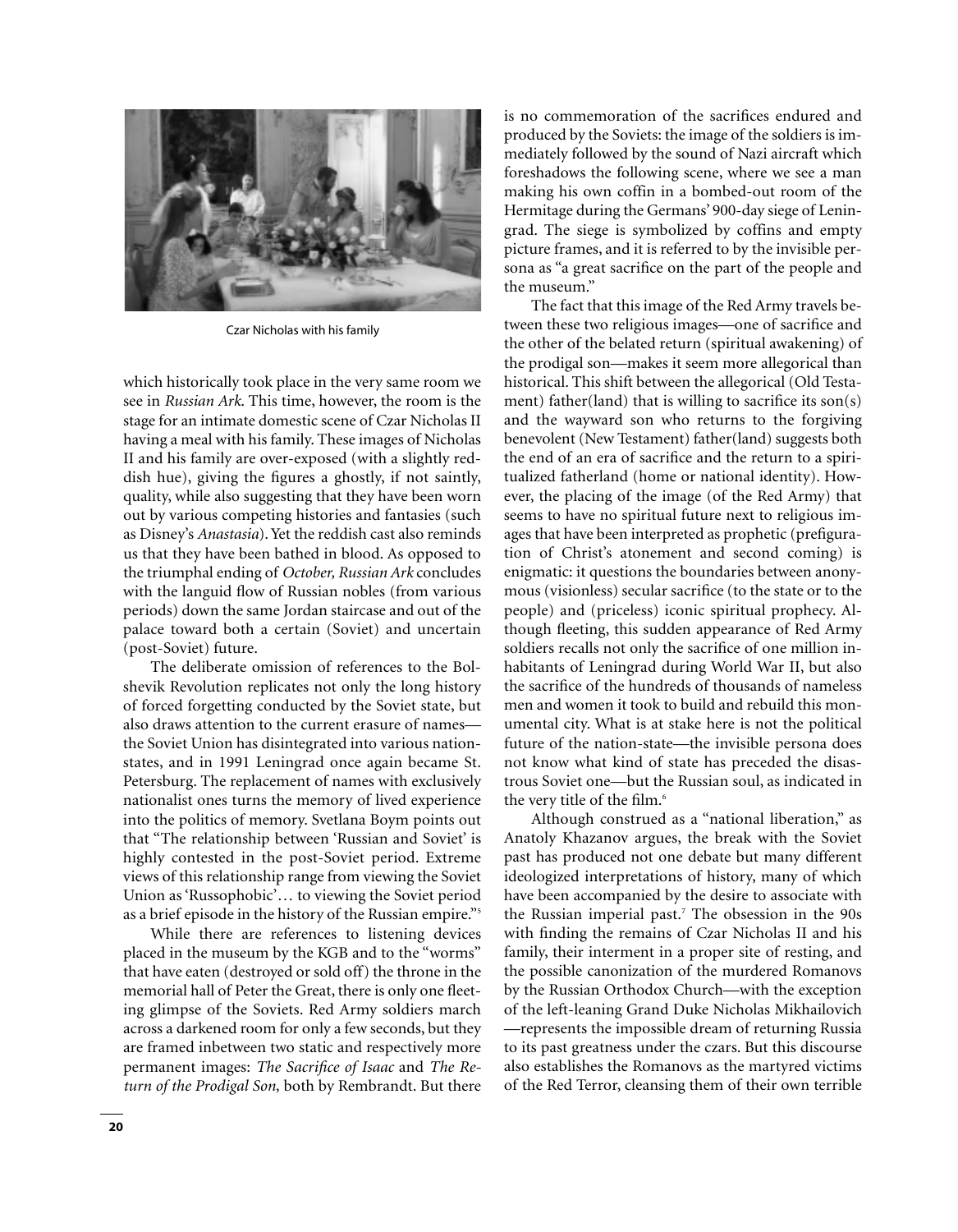

Czar Nicholas with his family

which historically took place in the very same room we see in *Russian Ark*. This time, however, the room is the stage for an intimate domestic scene of Czar Nicholas II having a meal with his family. These images of Nicholas II and his family are over-exposed (with a slightly reddish hue), giving the figures a ghostly, if not saintly, quality, while also suggesting that they have been worn out by various competing histories and fantasies (such as Disney's *Anastasia*). Yet the reddish cast also reminds us that they have been bathed in blood. As opposed to the triumphal ending of *October, Russian Ark* concludes with the languid flow of Russian nobles (from various periods) down the same Jordan staircase and out of the palace toward both a certain (Soviet) and uncertain (post-Soviet) future.

The deliberate omission of references to the Bolshevik Revolution replicates not only the long history of forced forgetting conducted by the Soviet state, but also draws attention to the current erasure of names the Soviet Union has disintegrated into various nationstates, and in 1991 Leningrad once again became St. Petersburg. The replacement of names with exclusively nationalist ones turns the memory of lived experience into the politics of memory. Svetlana Boym points out that "The relationship between 'Russian and Soviet' is highly contested in the post-Soviet period. Extreme views of this relationship range from viewing the Soviet Union as 'Russophobic'… to viewing the Soviet period as a brief episode in the history of the Russian empire."5

While there are references to listening devices placed in the museum by the KGB and to the "worms" that have eaten (destroyed or sold off) the throne in the memorial hall of Peter the Great, there is only one fleeting glimpse of the Soviets. Red Army soldiers march across a darkened room for only a few seconds, but they are framed inbetween two static and respectively more permanent images: *The Sacrifice of Isaac* and *The Return of the Prodigal Son,* both by Rembrandt. But there is no commemoration of the sacrifices endured and produced by the Soviets: the image of the soldiers is immediately followed by the sound of Nazi aircraft which foreshadows the following scene, where we see a man making his own coffin in a bombed-out room of the Hermitage during the Germans' 900-day siege of Leningrad. The siege is symbolized by coffins and empty picture frames, and it is referred to by the invisible persona as "a great sacrifice on the part of the people and the museum."

The fact that this image of the Red Army travels between these two religious images—one of sacrifice and the other of the belated return (spiritual awakening) of the prodigal son—makes it seem more allegorical than historical. This shift between the allegorical (Old Testament) father(land) that is willing to sacrifice its  $son(s)$ and the wayward son who returns to the forgiving benevolent (New Testament) father(land) suggests both the end of an era of sacrifice and the return to a spiritualized fatherland (home or national identity). However, the placing of the image (of the Red Army) that seems to have no spiritual future next to religious images that have been interpreted as prophetic (prefiguration of Christ's atonement and second coming) is enigmatic: it questions the boundaries between anonymous (visionless) secular sacrifice (to the state or to the people) and (priceless) iconic spiritual prophecy. Although fleeting, this sudden appearance of Red Army soldiers recalls not only the sacrifice of one million inhabitants of Leningrad during World War II, but also the sacrifice of the hundreds of thousands of nameless men and women it took to build and rebuild this monumental city. What is at stake here is not the political future of the nation-state—the invisible persona does not know what kind of state has preceded the disastrous Soviet one—but the Russian soul, as indicated in the very title of the film.<sup>6</sup>

Although construed as a "national liberation," as Anatoly Khazanov argues, the break with the Soviet past has produced not one debate but many different ideologized interpretations of history, many of which have been accompanied by the desire to associate with the Russian imperial past.7 The obsession in the 90s with finding the remains of Czar Nicholas II and his family, their interment in a proper site of resting, and the possible canonization of the murdered Romanovs by the Russian Orthodox Church—with the exception of the left-leaning Grand Duke Nicholas Mikhailovich —represents the impossible dream of returning Russia to its past greatness under the czars. But this discourse also establishes the Romanovs as the martyred victims of the Red Terror, cleansing them of their own terrible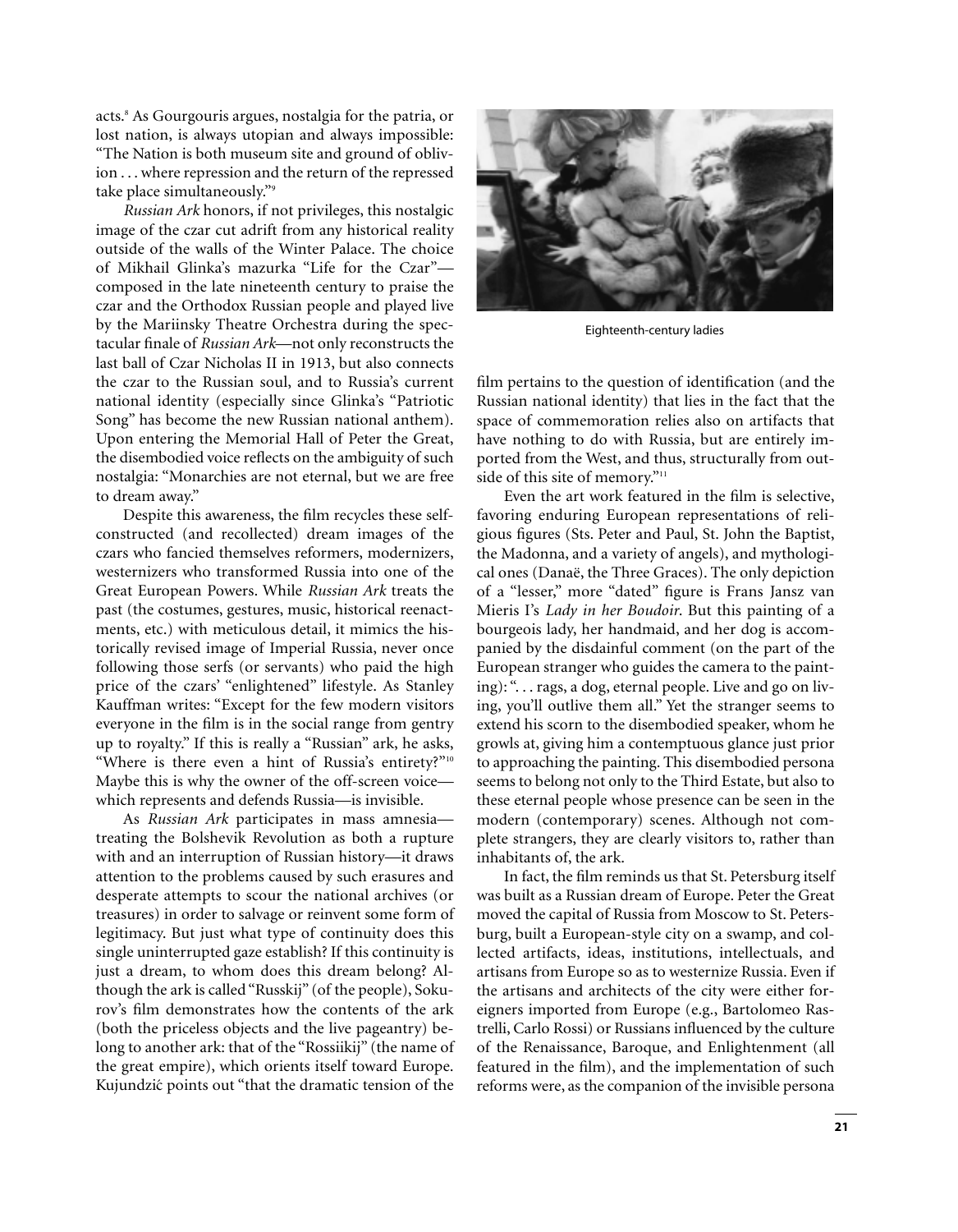acts.8 As Gourgouris argues, nostalgia for the patria, or lost nation, is always utopian and always impossible: "The Nation is both museum site and ground of oblivion . . . where repression and the return of the repressed take place simultaneously."9

*Russian Ark* honors, if not privileges, this nostalgic image of the czar cut adrift from any historical reality outside of the walls of the Winter Palace. The choice of Mikhail Glinka's mazurka "Life for the Czar" composed in the late nineteenth century to praise the czar and the Orthodox Russian people and played live by the Mariinsky Theatre Orchestra during the spectacular finale of *Russian Ark*—not only reconstructs the last ball of Czar Nicholas II in 1913, but also connects the czar to the Russian soul, and to Russia's current national identity (especially since Glinka's "Patriotic Song" has become the new Russian national anthem). Upon entering the Memorial Hall of Peter the Great, the disembodied voice reflects on the ambiguity of such nostalgia: "Monarchies are not eternal, but we are free to dream away."

Despite this awareness, the film recycles these selfconstructed (and recollected) dream images of the czars who fancied themselves reformers, modernizers, westernizers who transformed Russia into one of the Great European Powers. While *Russian Ark* treats the past (the costumes, gestures, music, historical reenactments, etc.) with meticulous detail, it mimics the historically revised image of Imperial Russia, never once following those serfs (or servants) who paid the high price of the czars' "enlightened" lifestyle. As Stanley Kauffman writes: "Except for the few modern visitors everyone in the film is in the social range from gentry up to royalty." If this is really a "Russian" ark, he asks, "Where is there even a hint of Russia's entirety?"<sup>10</sup> Maybe this is why the owner of the off-screen voice which represents and defends Russia—is invisible.

As *Russian Ark* participates in mass amnesia treating the Bolshevik Revolution as both a rupture with and an interruption of Russian history—it draws attention to the problems caused by such erasures and desperate attempts to scour the national archives (or treasures) in order to salvage or reinvent some form of legitimacy. But just what type of continuity does this single uninterrupted gaze establish? If this continuity is just a dream, to whom does this dream belong? Although the ark is called "Russkij" (of the people), Sokurov's film demonstrates how the contents of the ark (both the priceless objects and the live pageantry) belong to another ark: that of the "Rossiikij" (the name of the great empire), which orients itself toward Europe. Kujundzić points out "that the dramatic tension of the



Eighteenth-century ladies

film pertains to the question of identification (and the Russian national identity) that lies in the fact that the space of commemoration relies also on artifacts that have nothing to do with Russia, but are entirely imported from the West, and thus, structurally from outside of this site of memory."<sup>11</sup>

Even the art work featured in the film is selective, favoring enduring European representations of religious figures (Sts. Peter and Paul, St. John the Baptist, the Madonna, and a variety of angels), and mythological ones (Danaë, the Three Graces). The only depiction of a "lesser," more "dated" figure is Frans Jansz van Mieris I's *Lady in her Boudoir*. But this painting of a bourgeois lady, her handmaid, and her dog is accompanied by the disdainful comment (on the part of the European stranger who guides the camera to the painting): ". . . rags, a dog, eternal people. Live and go on living, you'll outlive them all." Yet the stranger seems to extend his scorn to the disembodied speaker, whom he growls at, giving him a contemptuous glance just prior to approaching the painting. This disembodied persona seems to belong not only to the Third Estate, but also to these eternal people whose presence can be seen in the modern (contemporary) scenes. Although not complete strangers, they are clearly visitors to, rather than inhabitants of, the ark.

In fact, the film reminds us that St. Petersburg itself was built as a Russian dream of Europe. Peter the Great moved the capital of Russia from Moscow to St. Petersburg, built a European-style city on a swamp, and collected artifacts, ideas, institutions, intellectuals, and artisans from Europe so as to westernize Russia. Even if the artisans and architects of the city were either foreigners imported from Europe (e.g., Bartolomeo Rastrelli, Carlo Rossi) or Russians influenced by the culture of the Renaissance, Baroque, and Enlightenment (all featured in the film), and the implementation of such reforms were, as the companion of the invisible persona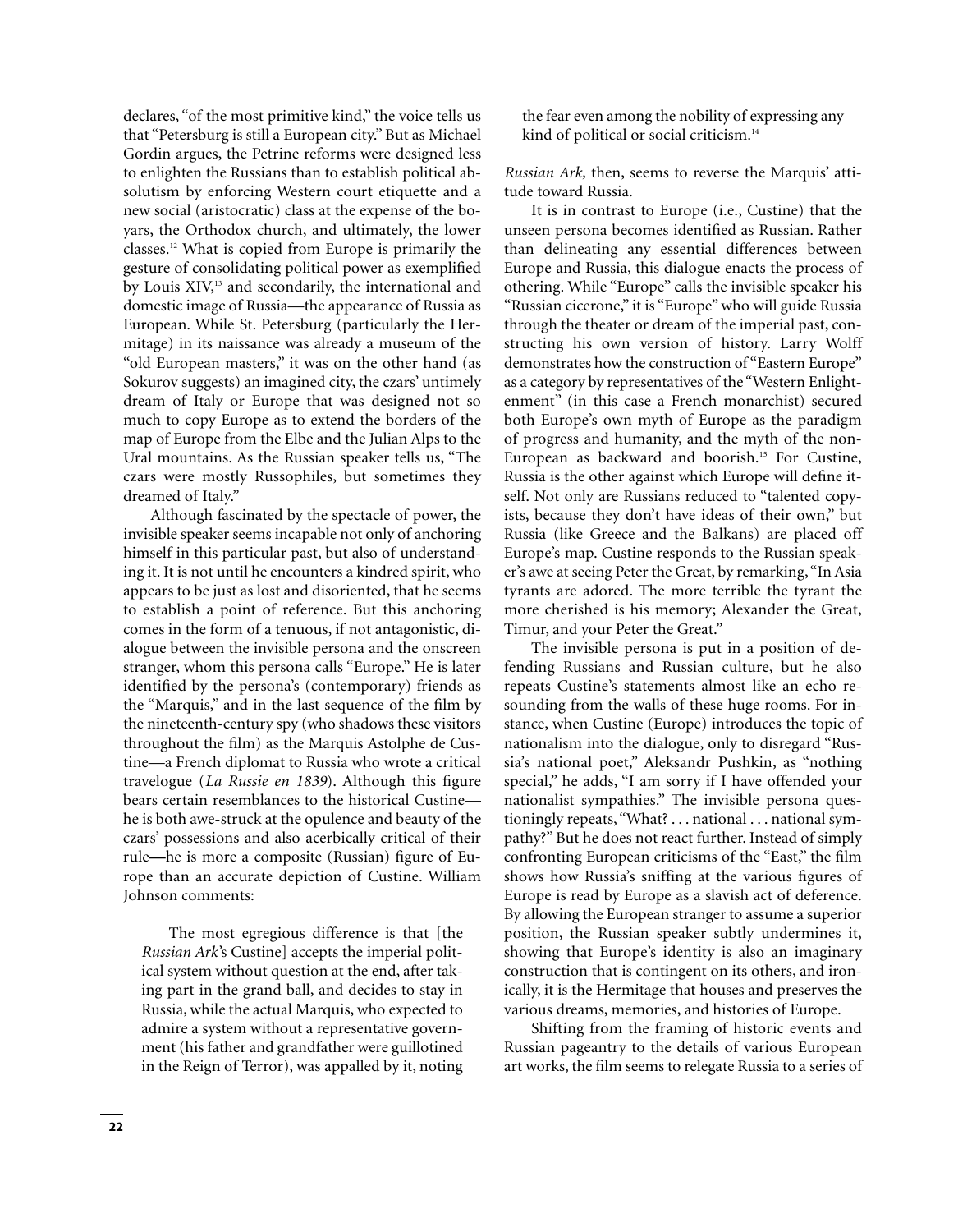declares, "of the most primitive kind," the voice tells us that "Petersburg is still a European city." But as Michael Gordin argues, the Petrine reforms were designed less to enlighten the Russians than to establish political absolutism by enforcing Western court etiquette and a new social (aristocratic) class at the expense of the boyars, the Orthodox church, and ultimately, the lower classes.12 What is copied from Europe is primarily the gesture of consolidating political power as exemplified by Louis XIV,<sup>13</sup> and secondarily, the international and domestic image of Russia—the appearance of Russia as European. While St. Petersburg (particularly the Hermitage) in its naissance was already a museum of the "old European masters," it was on the other hand (as Sokurov suggests) an imagined city, the czars' untimely dream of Italy or Europe that was designed not so much to copy Europe as to extend the borders of the map of Europe from the Elbe and the Julian Alps to the Ural mountains. As the Russian speaker tells us, "The czars were mostly Russophiles, but sometimes they dreamed of Italy."

Although fascinated by the spectacle of power, the invisible speaker seems incapable not only of anchoring himself in this particular past, but also of understanding it. It is not until he encounters a kindred spirit, who appears to be just as lost and disoriented, that he seems to establish a point of reference. But this anchoring comes in the form of a tenuous, if not antagonistic, dialogue between the invisible persona and the onscreen stranger, whom this persona calls "Europe." He is later identified by the persona's (contemporary) friends as the "Marquis," and in the last sequence of the film by the nineteenth-century spy (who shadows these visitors throughout the film) as the Marquis Astolphe de Custine—a French diplomat to Russia who wrote a critical travelogue (*La Russie en 1839*). Although this figure bears certain resemblances to the historical Custine he is both awe-struck at the opulence and beauty of the czars' possessions and also acerbically critical of their rule**—**he is more a composite (Russian) figure of Europe than an accurate depiction of Custine. William Johnson comments:

The most egregious difference is that [the *Russian Ark'*s Custine] accepts the imperial political system without question at the end, after taking part in the grand ball, and decides to stay in Russia, while the actual Marquis, who expected to admire a system without a representative government (his father and grandfather were guillotined in the Reign of Terror), was appalled by it, noting

the fear even among the nobility of expressing any kind of political or social criticism.<sup>14</sup>

*Russian Ark,* then, seems to reverse the Marquis' attitude toward Russia.

It is in contrast to Europe (i.e., Custine) that the unseen persona becomes identified as Russian. Rather than delineating any essential differences between Europe and Russia, this dialogue enacts the process of othering. While "Europe" calls the invisible speaker his "Russian cicerone," it is "Europe" who will guide Russia through the theater or dream of the imperial past, constructing his own version of history. Larry Wolff demonstrates how the construction of "Eastern Europe" as a category by representatives of the "Western Enlightenment" (in this case a French monarchist) secured both Europe's own myth of Europe as the paradigm of progress and humanity, and the myth of the non-European as backward and boorish.<sup>15</sup> For Custine, Russia is the other against which Europe will define itself. Not only are Russians reduced to "talented copyists, because they don't have ideas of their own," but Russia (like Greece and the Balkans) are placed off Europe's map. Custine responds to the Russian speaker's awe at seeing Peter the Great, by remarking,"In Asia tyrants are adored. The more terrible the tyrant the more cherished is his memory; Alexander the Great, Timur, and your Peter the Great."

The invisible persona is put in a position of defending Russians and Russian culture, but he also repeats Custine's statements almost like an echo resounding from the walls of these huge rooms. For instance, when Custine (Europe) introduces the topic of nationalism into the dialogue, only to disregard "Russia's national poet," Aleksandr Pushkin, as "nothing special," he adds, "I am sorry if I have offended your nationalist sympathies." The invisible persona questioningly repeats, "What? . . . national . . . national sympathy?" But he does not react further. Instead of simply confronting European criticisms of the "East," the film shows how Russia's sniffing at the various figures of Europe is read by Europe as a slavish act of deference. By allowing the European stranger to assume a superior position, the Russian speaker subtly undermines it, showing that Europe's identity is also an imaginary construction that is contingent on its others, and ironically, it is the Hermitage that houses and preserves the various dreams, memories, and histories of Europe.

Shifting from the framing of historic events and Russian pageantry to the details of various European art works, the film seems to relegate Russia to a series of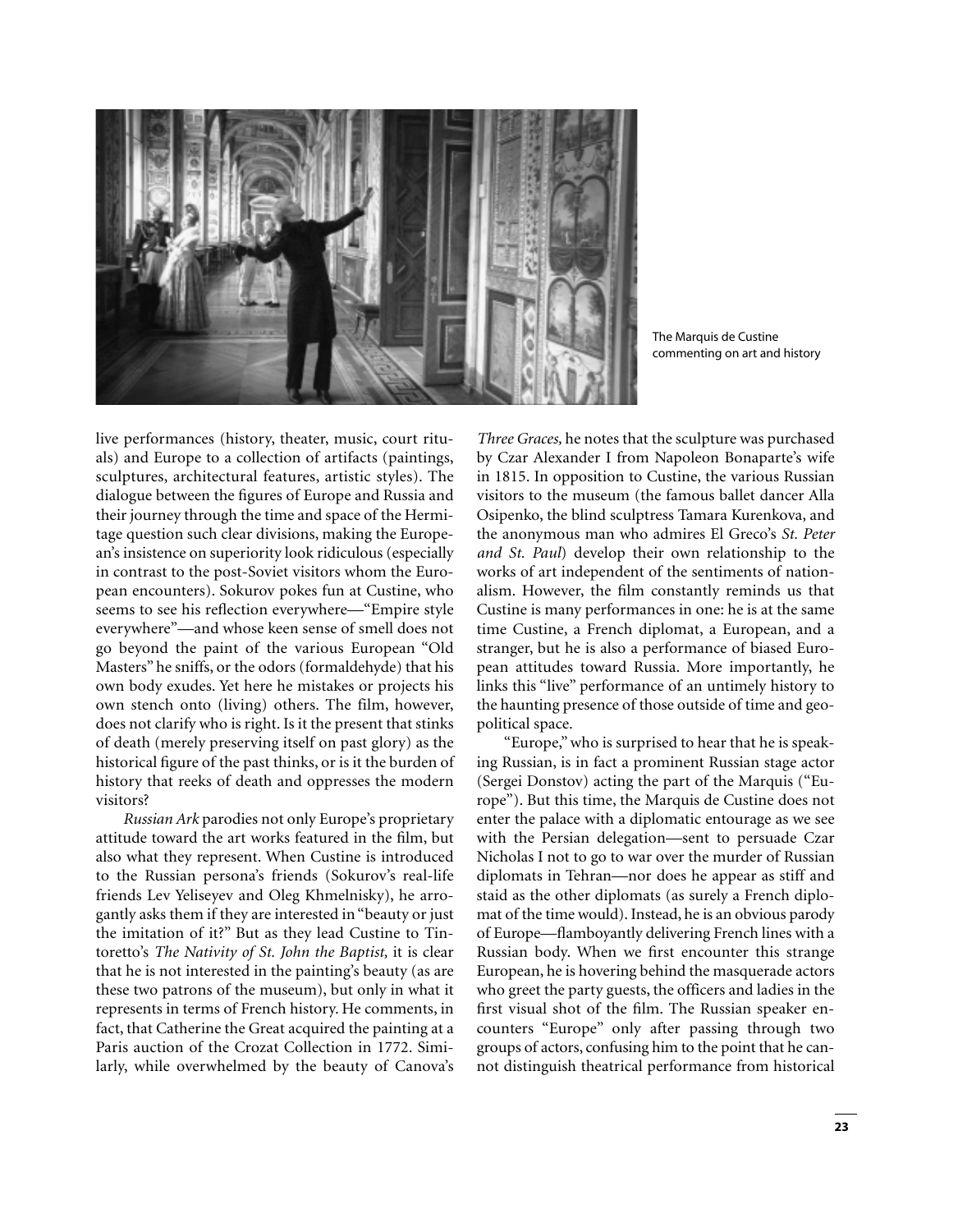

The Marquis de Custine commenting on art and history

live performances (history, theater, music, court rituals) and Europe to a collection of artifacts (paintings, sculptures, architectural features, artistic styles). The dialogue between the figures of Europe and Russia and their journey through the time and space of the Hermitage question such clear divisions, making the European's insistence on superiority look ridiculous (especially in contrast to the post-Soviet visitors whom the European encounters). Sokurov pokes fun at Custine, who seems to see his reflection everywhere—"Empire style everywhere"—and whose keen sense of smell does not go beyond the paint of the various European "Old Masters" he sniffs, or the odors (formaldehyde) that his own body exudes. Yet here he mistakes or projects his own stench onto (living) others. The film, however, does not clarify who is right. Is it the present that stinks of death (merely preserving itself on past glory) as the historical figure of the past thinks, or is it the burden of history that reeks of death and oppresses the modern visitors?

*Russian Ark* parodies not only Europe's proprietary attitude toward the art works featured in the film, but also what they represent. When Custine is introduced to the Russian persona's friends (Sokurov's real-life friends Lev Yeliseyev and Oleg Khmelnisky), he arrogantly asks them if they are interested in "beauty or just the imitation of it?" But as they lead Custine to Tintoretto's *The Nativity of St. John the Baptist,* it is clear that he is not interested in the painting's beauty (as are these two patrons of the museum), but only in what it represents in terms of French history. He comments, in fact, that Catherine the Great acquired the painting at a Paris auction of the Crozat Collection in 1772. Similarly, while overwhelmed by the beauty of Canova's

*Three Graces,* he notes that the sculpture was purchased by Czar Alexander I from Napoleon Bonaparte's wife in 1815. In opposition to Custine, the various Russian visitors to the museum (the famous ballet dancer Alla Osipenko, the blind sculptress Tamara Kurenkova, and the anonymous man who admires El Greco's *St. Peter and St. Paul*) develop their own relationship to the works of art independent of the sentiments of nationalism. However, the film constantly reminds us that Custine is many performances in one: he is at the same time Custine, a French diplomat, a European, and a stranger, but he is also a performance of biased European attitudes toward Russia. More importantly, he links this "live" performance of an untimely history to the haunting presence of those outside of time and geopolitical space.

"Europe," who is surprised to hear that he is speaking Russian, is in fact a prominent Russian stage actor (Sergei Donstov) acting the part of the Marquis ("Europe"). But this time, the Marquis de Custine does not enter the palace with a diplomatic entourage as we see with the Persian delegation—sent to persuade Czar Nicholas I not to go to war over the murder of Russian diplomats in Tehran—nor does he appear as stiff and staid as the other diplomats (as surely a French diplomat of the time would). Instead, he is an obvious parody of Europe—flamboyantly delivering French lines with a Russian body. When we first encounter this strange European, he is hovering behind the masquerade actors who greet the party guests, the officers and ladies in the first visual shot of the film. The Russian speaker encounters "Europe" only after passing through two groups of actors, confusing him to the point that he cannot distinguish theatrical performance from historical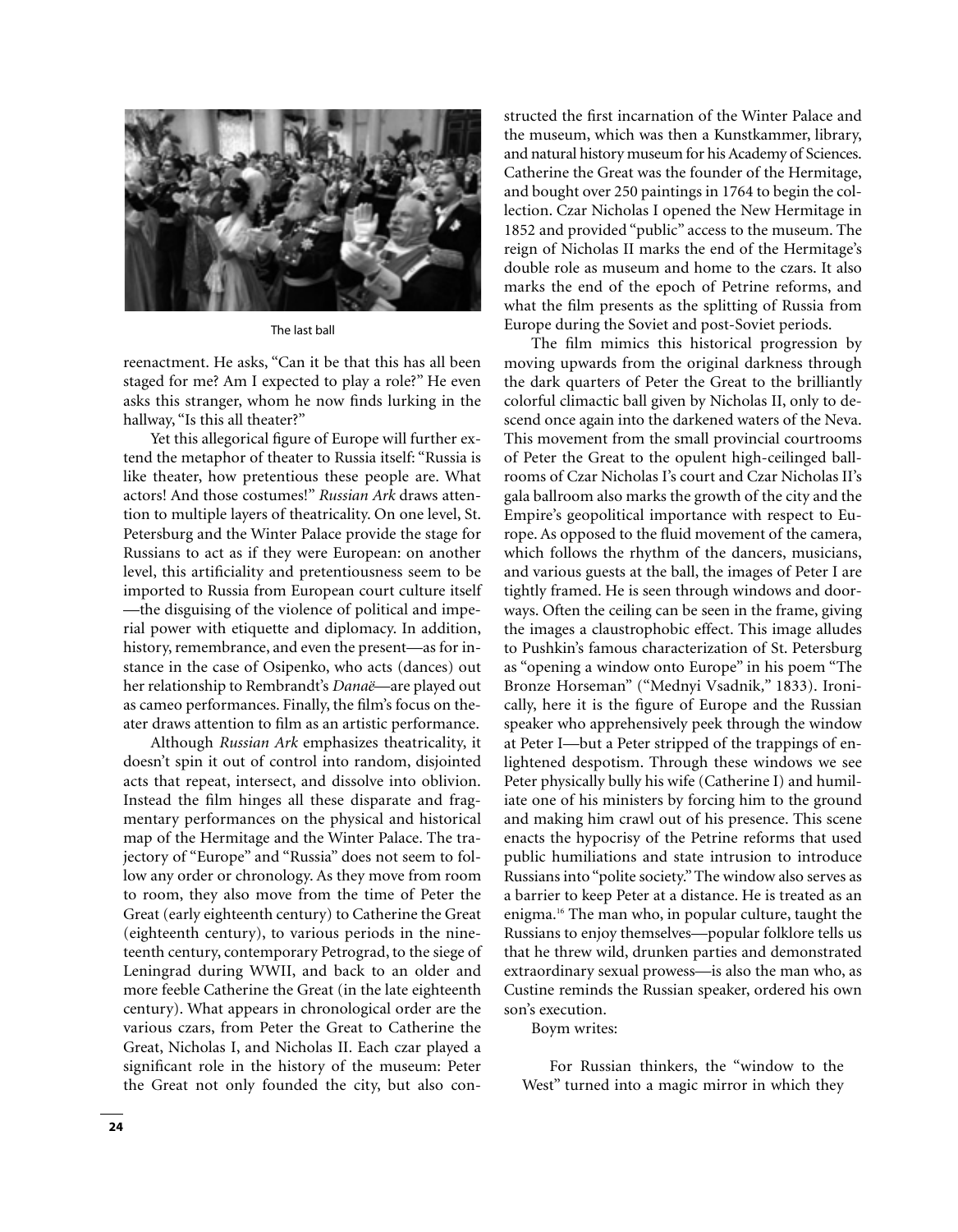

The last ball

reenactment. He asks, "Can it be that this has all been staged for me? Am I expected to play a role?" He even asks this stranger, whom he now finds lurking in the hallway, "Is this all theater?"

Yet this allegorical figure of Europe will further extend the metaphor of theater to Russia itself: "Russia is like theater, how pretentious these people are. What actors! And those costumes!" *Russian Ark* draws attention to multiple layers of theatricality. On one level, St. Petersburg and the Winter Palace provide the stage for Russians to act as if they were European: on another level, this artificiality and pretentiousness seem to be imported to Russia from European court culture itself —the disguising of the violence of political and imperial power with etiquette and diplomacy. In addition, history, remembrance, and even the present—as for instance in the case of Osipenko, who acts (dances) out her relationship to Rembrandt's *Danaë*—are played out as cameo performances. Finally, the film's focus on theater draws attention to film as an artistic performance.

Although *Russian Ark* emphasizes theatricality, it doesn't spin it out of control into random, disjointed acts that repeat, intersect, and dissolve into oblivion. Instead the film hinges all these disparate and fragmentary performances on the physical and historical map of the Hermitage and the Winter Palace. The trajectory of "Europe" and "Russia" does not seem to follow any order or chronology. As they move from room to room, they also move from the time of Peter the Great (early eighteenth century) to Catherine the Great (eighteenth century), to various periods in the nineteenth century, contemporary Petrograd, to the siege of Leningrad during WWII, and back to an older and more feeble Catherine the Great (in the late eighteenth century). What appears in chronological order are the various czars, from Peter the Great to Catherine the Great, Nicholas I, and Nicholas II. Each czar played a significant role in the history of the museum: Peter the Great not only founded the city, but also constructed the first incarnation of the Winter Palace and the museum, which was then a Kunstkammer, library, and natural history museum for his Academy of Sciences. Catherine the Great was the founder of the Hermitage, and bought over 250 paintings in 1764 to begin the collection. Czar Nicholas I opened the New Hermitage in 1852 and provided "public" access to the museum. The reign of Nicholas II marks the end of the Hermitage's double role as museum and home to the czars. It also marks the end of the epoch of Petrine reforms, and what the film presents as the splitting of Russia from Europe during the Soviet and post-Soviet periods.

The film mimics this historical progression by moving upwards from the original darkness through the dark quarters of Peter the Great to the brilliantly colorful climactic ball given by Nicholas II, only to descend once again into the darkened waters of the Neva. This movement from the small provincial courtrooms of Peter the Great to the opulent high-ceilinged ballrooms of Czar Nicholas I's court and Czar Nicholas II's gala ballroom also marks the growth of the city and the Empire's geopolitical importance with respect to Europe. As opposed to the fluid movement of the camera, which follows the rhythm of the dancers, musicians, and various guests at the ball, the images of Peter I are tightly framed. He is seen through windows and doorways. Often the ceiling can be seen in the frame, giving the images a claustrophobic effect. This image alludes to Pushkin's famous characterization of St. Petersburg as "opening a window onto Europe" in his poem "The Bronze Horseman" ("Mednyi Vsadnik*,"* 1833). Ironically, here it is the figure of Europe and the Russian speaker who apprehensively peek through the window at Peter I—but a Peter stripped of the trappings of enlightened despotism. Through these windows we see Peter physically bully his wife (Catherine I) and humiliate one of his ministers by forcing him to the ground and making him crawl out of his presence. This scene enacts the hypocrisy of the Petrine reforms that used public humiliations and state intrusion to introduce Russians into "polite society." The window also serves as a barrier to keep Peter at a distance. He is treated as an enigma.16 The man who, in popular culture, taught the Russians to enjoy themselves—popular folklore tells us that he threw wild, drunken parties and demonstrated extraordinary sexual prowess—is also the man who, as Custine reminds the Russian speaker, ordered his own son's execution.

## Boym writes:

For Russian thinkers, the "window to the West" turned into a magic mirror in which they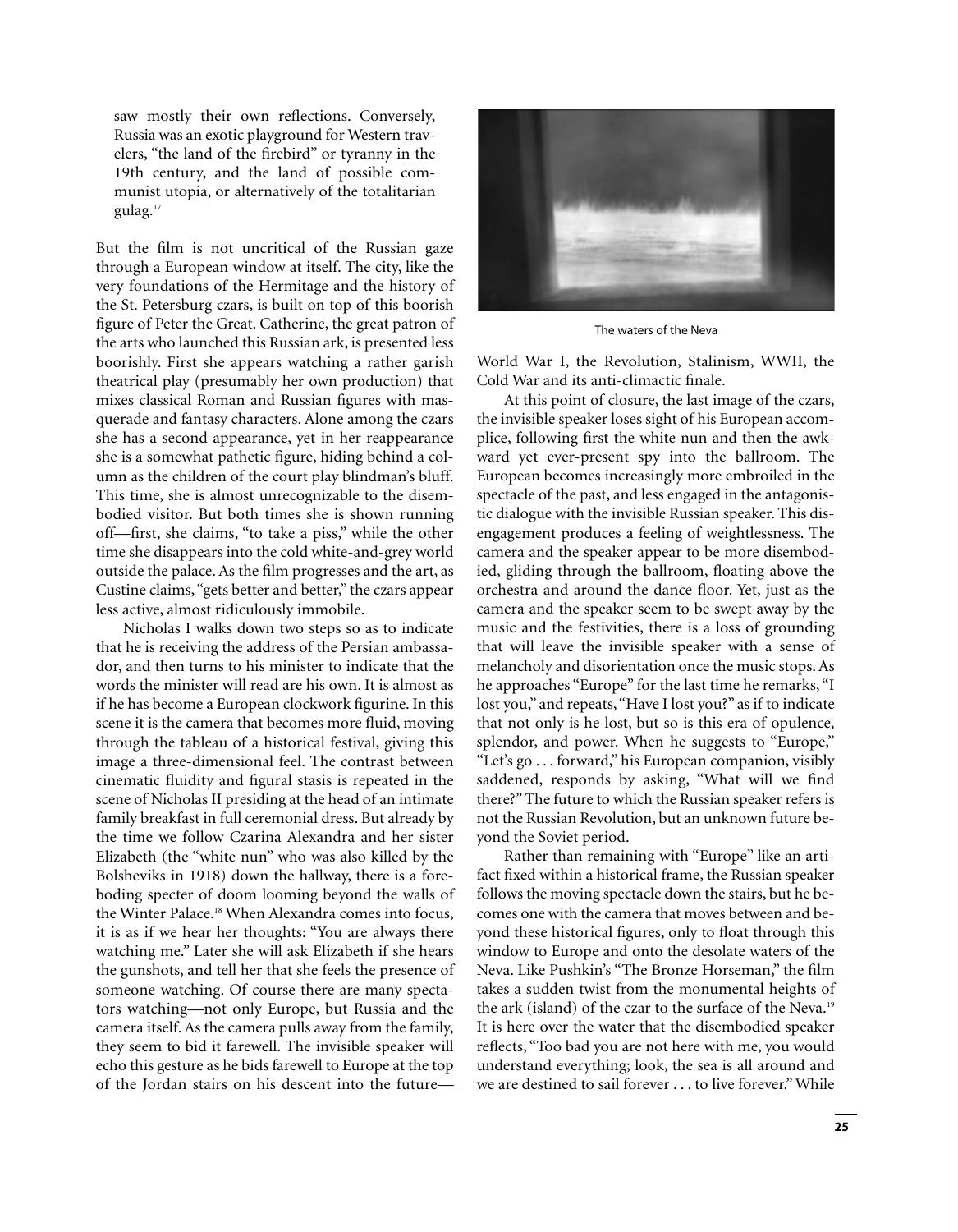saw mostly their own reflections. Conversely, Russia was an exotic playground for Western travelers, "the land of the firebird" or tyranny in the 19th century, and the land of possible communist utopia, or alternatively of the totalitarian gulag.<sup>17</sup>

But the film is not uncritical of the Russian gaze through a European window at itself. The city, like the very foundations of the Hermitage and the history of the St. Petersburg czars, is built on top of this boorish figure of Peter the Great. Catherine, the great patron of the arts who launched this Russian ark, is presented less boorishly. First she appears watching a rather garish theatrical play (presumably her own production) that mixes classical Roman and Russian figures with masquerade and fantasy characters. Alone among the czars she has a second appearance, yet in her reappearance she is a somewhat pathetic figure, hiding behind a column as the children of the court play blindman's bluff. This time, she is almost unrecognizable to the disembodied visitor. But both times she is shown running off—first, she claims, "to take a piss," while the other time she disappears into the cold white-and-grey world outside the palace. As the film progresses and the art, as Custine claims,"gets better and better," the czars appear less active, almost ridiculously immobile.

Nicholas I walks down two steps so as to indicate that he is receiving the address of the Persian ambassador, and then turns to his minister to indicate that the words the minister will read are his own. It is almost as if he has become a European clockwork figurine. In this scene it is the camera that becomes more fluid, moving through the tableau of a historical festival, giving this image a three-dimensional feel. The contrast between cinematic fluidity and figural stasis is repeated in the scene of Nicholas II presiding at the head of an intimate family breakfast in full ceremonial dress. But already by the time we follow Czarina Alexandra and her sister Elizabeth (the "white nun" who was also killed by the Bolsheviks in 1918) down the hallway, there is a foreboding specter of doom looming beyond the walls of the Winter Palace.<sup>18</sup> When Alexandra comes into focus, it is as if we hear her thoughts: "You are always there watching me." Later she will ask Elizabeth if she hears the gunshots, and tell her that she feels the presence of someone watching. Of course there are many spectators watching—not only Europe, but Russia and the camera itself. As the camera pulls away from the family, they seem to bid it farewell. The invisible speaker will echo this gesture as he bids farewell to Europe at the top of the Jordan stairs on his descent into the future—



The waters of the Neva

World War I, the Revolution, Stalinism, WWII, the Cold War and its anti-climactic finale.

At this point of closure, the last image of the czars, the invisible speaker loses sight of his European accomplice, following first the white nun and then the awkward yet ever-present spy into the ballroom. The European becomes increasingly more embroiled in the spectacle of the past, and less engaged in the antagonistic dialogue with the invisible Russian speaker. This disengagement produces a feeling of weightlessness. The camera and the speaker appear to be more disembodied, gliding through the ballroom, floating above the orchestra and around the dance floor. Yet, just as the camera and the speaker seem to be swept away by the music and the festivities, there is a loss of grounding that will leave the invisible speaker with a sense of melancholy and disorientation once the music stops. As he approaches "Europe" for the last time he remarks, "I lost you," and repeats,"Have I lost you?" as if to indicate that not only is he lost, but so is this era of opulence, splendor, and power. When he suggests to "Europe," "Let's go . . . forward," his European companion, visibly saddened, responds by asking, "What will we find there?" The future to which the Russian speaker refers is not the Russian Revolution, but an unknown future beyond the Soviet period.

Rather than remaining with "Europe" like an artifact fixed within a historical frame, the Russian speaker follows the moving spectacle down the stairs, but he becomes one with the camera that moves between and beyond these historical figures, only to float through this window to Europe and onto the desolate waters of the Neva. Like Pushkin's "The Bronze Horseman," the film takes a sudden twist from the monumental heights of the ark (island) of the czar to the surface of the Neva.<sup>19</sup> It is here over the water that the disembodied speaker reflects, "Too bad you are not here with me, you would understand everything; look, the sea is all around and we are destined to sail forever . . . to live forever." While